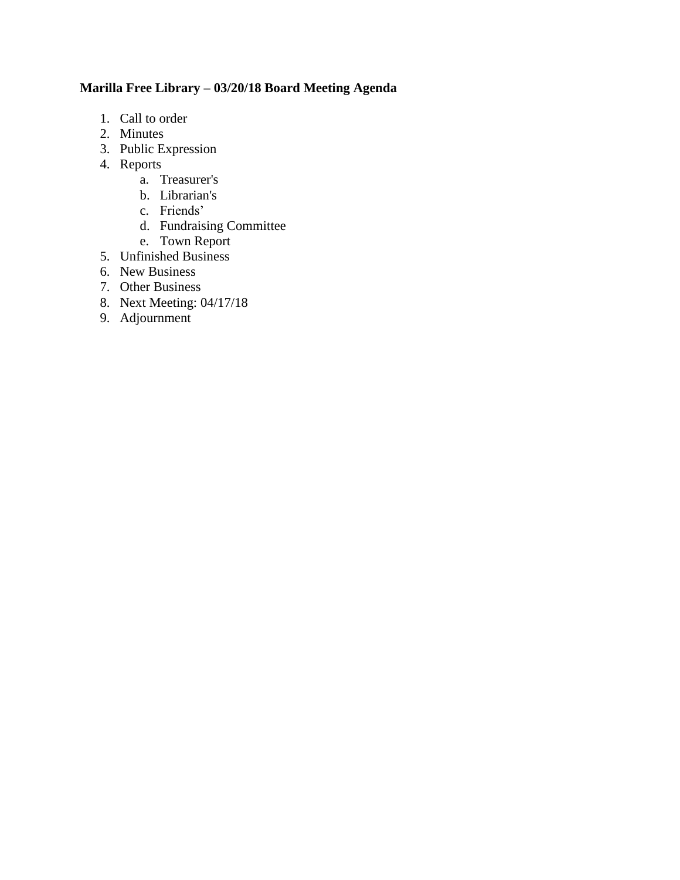# **Marilla Free Library – 03/20/18 Board Meeting Agenda**

- 1. Call to order
- 2. Minutes
- 3. Public Expression
- 4. Reports
	- a. Treasurer's
	- b. Librarian's
	- c. Friends'
	- d. Fundraising Committee
	- e. Town Report
- 5. Unfinished Business
- 6. New Business
- 7. Other Business
- 8. Next Meeting: 04/17/18
- 9. Adjournment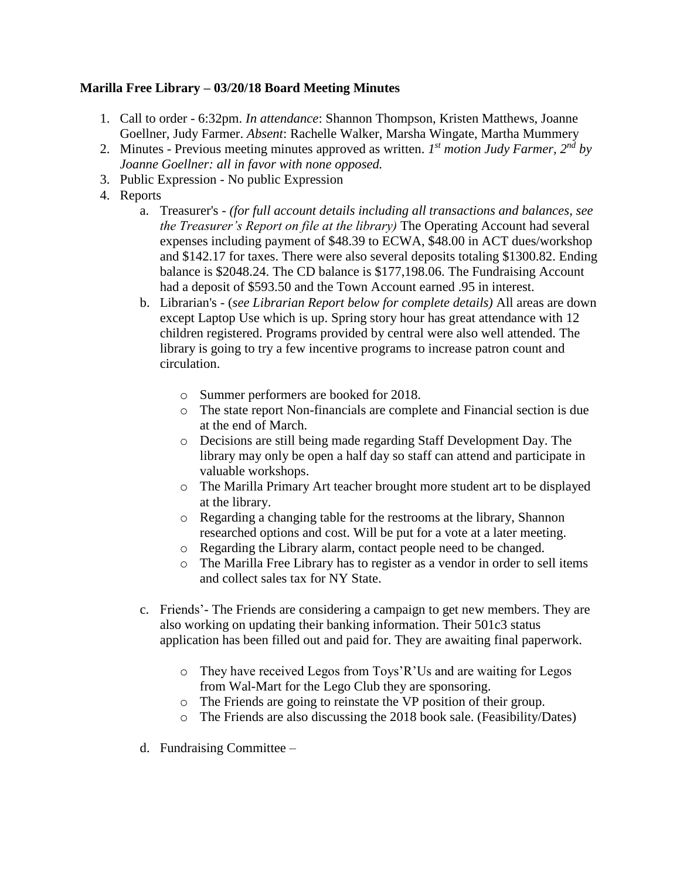### **Marilla Free Library – 03/20/18 Board Meeting Minutes**

- 1. Call to order 6:32pm. *In attendance*: Shannon Thompson, Kristen Matthews, Joanne Goellner, Judy Farmer. *Absent*: Rachelle Walker, Marsha Wingate, Martha Mummery
- 2. Minutes Previous meeting minutes approved as written. *I*<sup>st</sup> motion Judy Farmer, 2<sup>nd</sup> by *Joanne Goellner: all in favor with none opposed.*
- 3. Public Expression No public Expression
- 4. Reports
	- a. Treasurer's *(for full account details including all transactions and balances, see the Treasurer's Report on file at the library)* The Operating Account had several expenses including payment of \$48.39 to ECWA, \$48.00 in ACT dues/workshop and \$142.17 for taxes. There were also several deposits totaling \$1300.82. Ending balance is \$2048.24. The CD balance is \$177,198.06. The Fundraising Account had a deposit of \$593.50 and the Town Account earned .95 in interest.
	- b. Librarian's (*see Librarian Report below for complete details)* All areas are down except Laptop Use which is up. Spring story hour has great attendance with 12 children registered. Programs provided by central were also well attended. The library is going to try a few incentive programs to increase patron count and circulation.
		- o Summer performers are booked for 2018.
		- o The state report Non-financials are complete and Financial section is due at the end of March.
		- o Decisions are still being made regarding Staff Development Day. The library may only be open a half day so staff can attend and participate in valuable workshops.
		- o The Marilla Primary Art teacher brought more student art to be displayed at the library.
		- o Regarding a changing table for the restrooms at the library, Shannon researched options and cost. Will be put for a vote at a later meeting.
		- o Regarding the Library alarm, contact people need to be changed.
		- o The Marilla Free Library has to register as a vendor in order to sell items and collect sales tax for NY State.
	- c. Friends'- The Friends are considering a campaign to get new members. They are also working on updating their banking information. Their 501c3 status application has been filled out and paid for. They are awaiting final paperwork.
		- o They have received Legos from Toys'R'Us and are waiting for Legos from Wal-Mart for the Lego Club they are sponsoring.
		- o The Friends are going to reinstate the VP position of their group.
		- o The Friends are also discussing the 2018 book sale. (Feasibility/Dates)
	- d. Fundraising Committee –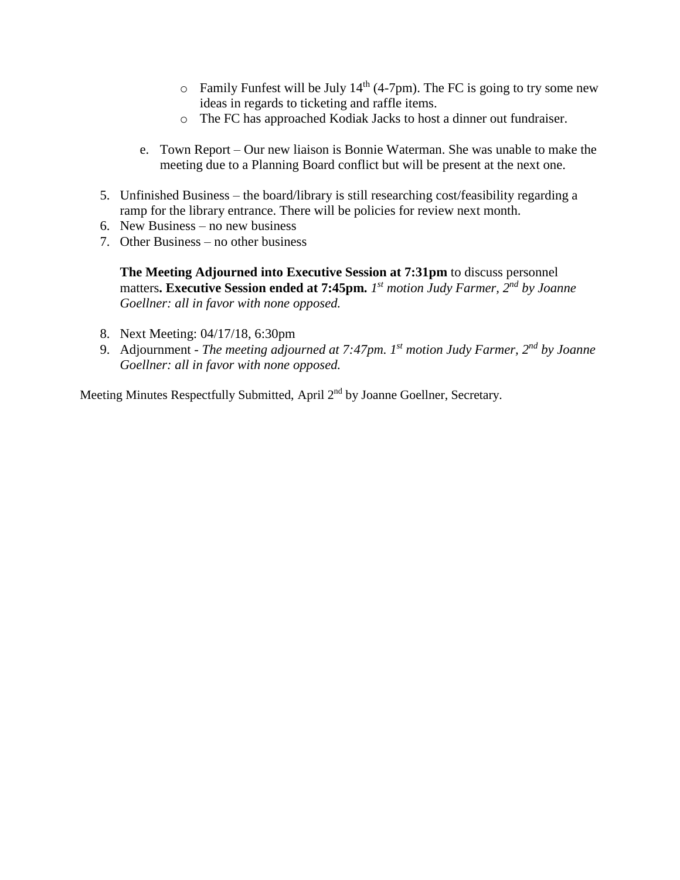- $\circ$  Family Funfest will be July 14<sup>th</sup> (4-7pm). The FC is going to try some new ideas in regards to ticketing and raffle items.
- o The FC has approached Kodiak Jacks to host a dinner out fundraiser.
- e. Town Report Our new liaison is Bonnie Waterman. She was unable to make the meeting due to a Planning Board conflict but will be present at the next one.
- 5. Unfinished Business the board/library is still researching cost/feasibility regarding a ramp for the library entrance. There will be policies for review next month.
- 6. New Business no new business
- 7. Other Business no other business

**The Meeting Adjourned into Executive Session at 7:31pm** to discuss personnel matters**. Executive Session ended at 7:45pm.** *1 st motion Judy Farmer, 2nd by Joanne Goellner: all in favor with none opposed.*

- 8. Next Meeting: 04/17/18, 6:30pm
- 9. Adjournment *The meeting adjourned at 7:47pm. 1 st motion Judy Farmer, 2nd by Joanne Goellner: all in favor with none opposed.*

Meeting Minutes Respectfully Submitted, April 2<sup>nd</sup> by Joanne Goellner, Secretary.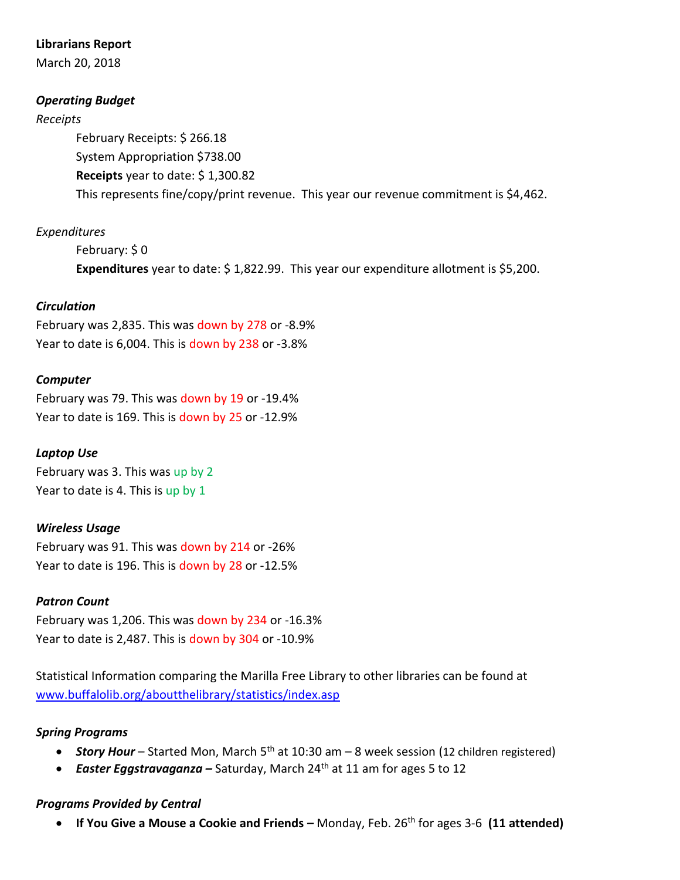#### **Librarians Report**

March 20, 2018

### *Operating Budget*

#### *Receipts*

February Receipts: \$ 266.18 System Appropriation \$738.00 **Receipts** year to date: \$ 1,300.82 This represents fine/copy/print revenue. This year our revenue commitment is \$4,462.

# *Expenditures*

February: \$ 0 **Expenditures** year to date: \$ 1,822.99. This year our expenditure allotment is \$5,200.

### *Circulation*

February was 2,835. This was down by 278 or -8.9% Year to date is 6,004. This is down by 238 or -3.8%

#### *Computer*

February was 79. This was down by 19 or -19.4% Year to date is 169. This is down by 25 or -12.9%

### *Laptop Use*

February was 3. This was up by 2 Year to date is 4. This is up by 1

### *Wireless Usage*

February was 91. This was down by 214 or -26% Year to date is 196. This is down by 28 or -12.5%

#### *Patron Count*

February was 1,206. This was down by 234 or -16.3% Year to date is 2,487. This is down by 304 or -10.9%

Statistical Information comparing the Marilla Free Library to other libraries can be found at [www.buffalolib.org/aboutthelibrary/statistics/index.asp](http://www.buffalolib.org/aboutthelibrary/statistics/index.asp)

#### *Spring Programs*

- **Story Hour** Started Mon, March 5<sup>th</sup> at 10:30 am 8 week session (12 children registered)
- *Easter Eggstravaganza* Saturday, March 24<sup>th</sup> at 11 am for ages 5 to 12

### *Programs Provided by Central*

**•** If You Give a Mouse a Cookie and Friends – Monday, Feb. 26<sup>th</sup> for ages 3-6 (11 attended)